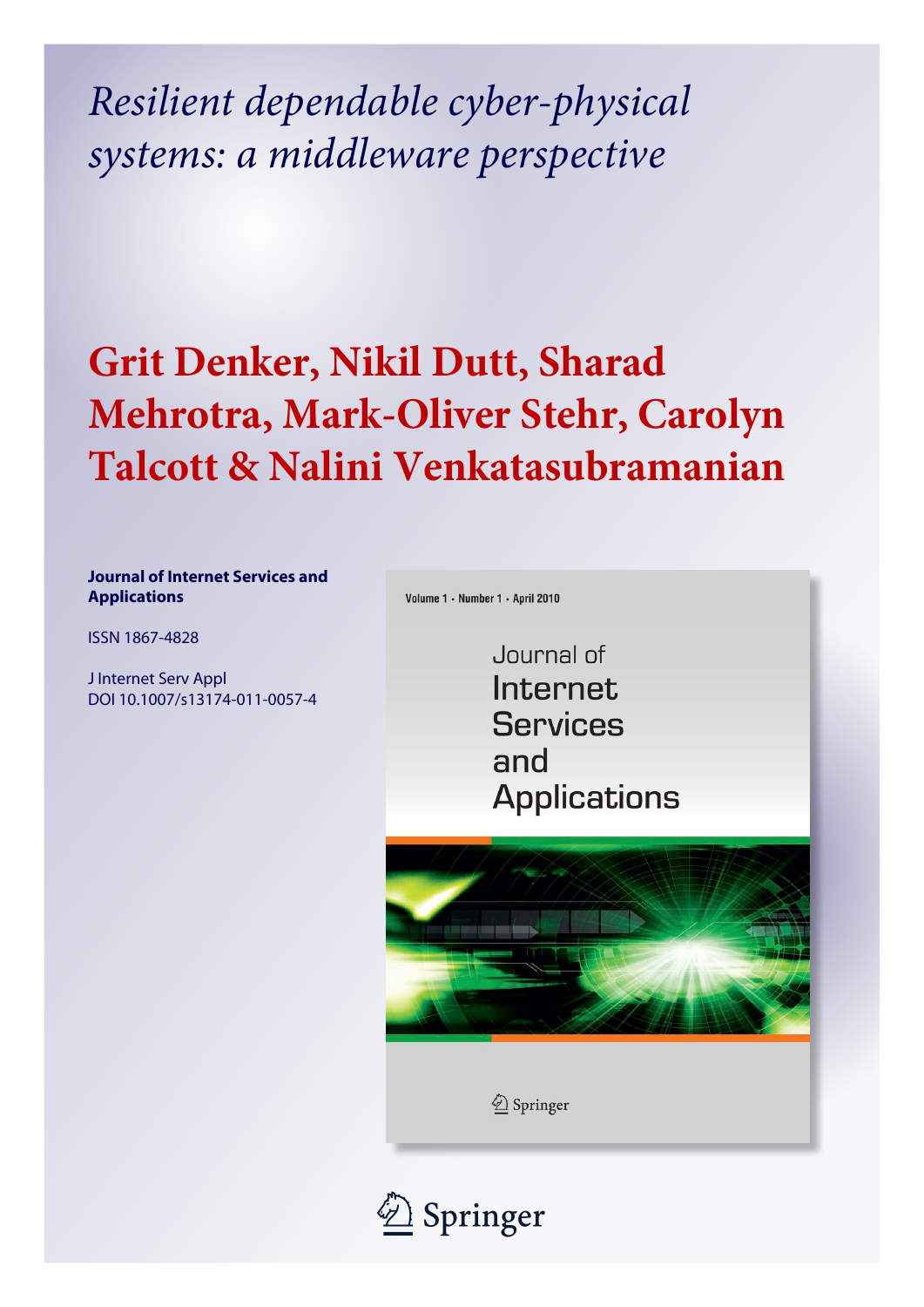*Resilient dependable cyber-physical systems: a middleware perspective*

# **Grit Denker, Nikil Dutt, Sharad Mehrotra, Mark-Oliver Stehr, Carolyn Talcott & Nalini Venkatasubramanian**

**Journal of Internet Services and Applications**

ISSN 1867-4828

J Internet Serv Appl DOI 10.1007/s13174-011-0057-4 Volume 1 · Number 1 · April 2010 Journal of Internet **Services** and **Applications** 



2 Springer

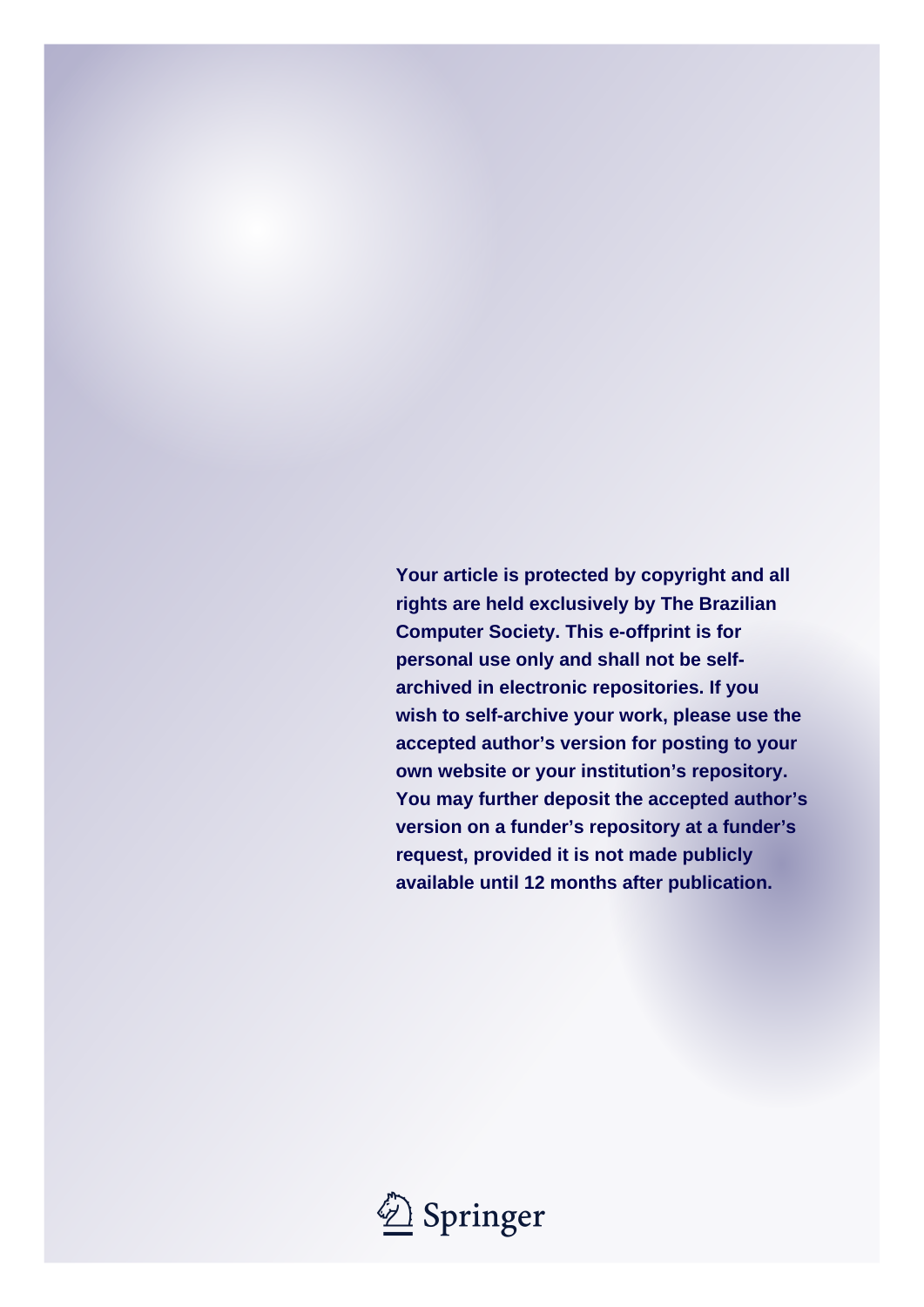**Your article is protected by copyright and all rights are held exclusively by The Brazilian Computer Society. This e-offprint is for personal use only and shall not be selfarchived in electronic repositories. If you wish to self-archive your work, please use the accepted author's version for posting to your own website or your institution's repository. You may further deposit the accepted author's version on a funder's repository at a funder's request, provided it is not made publicly available until 12 months after publication.**

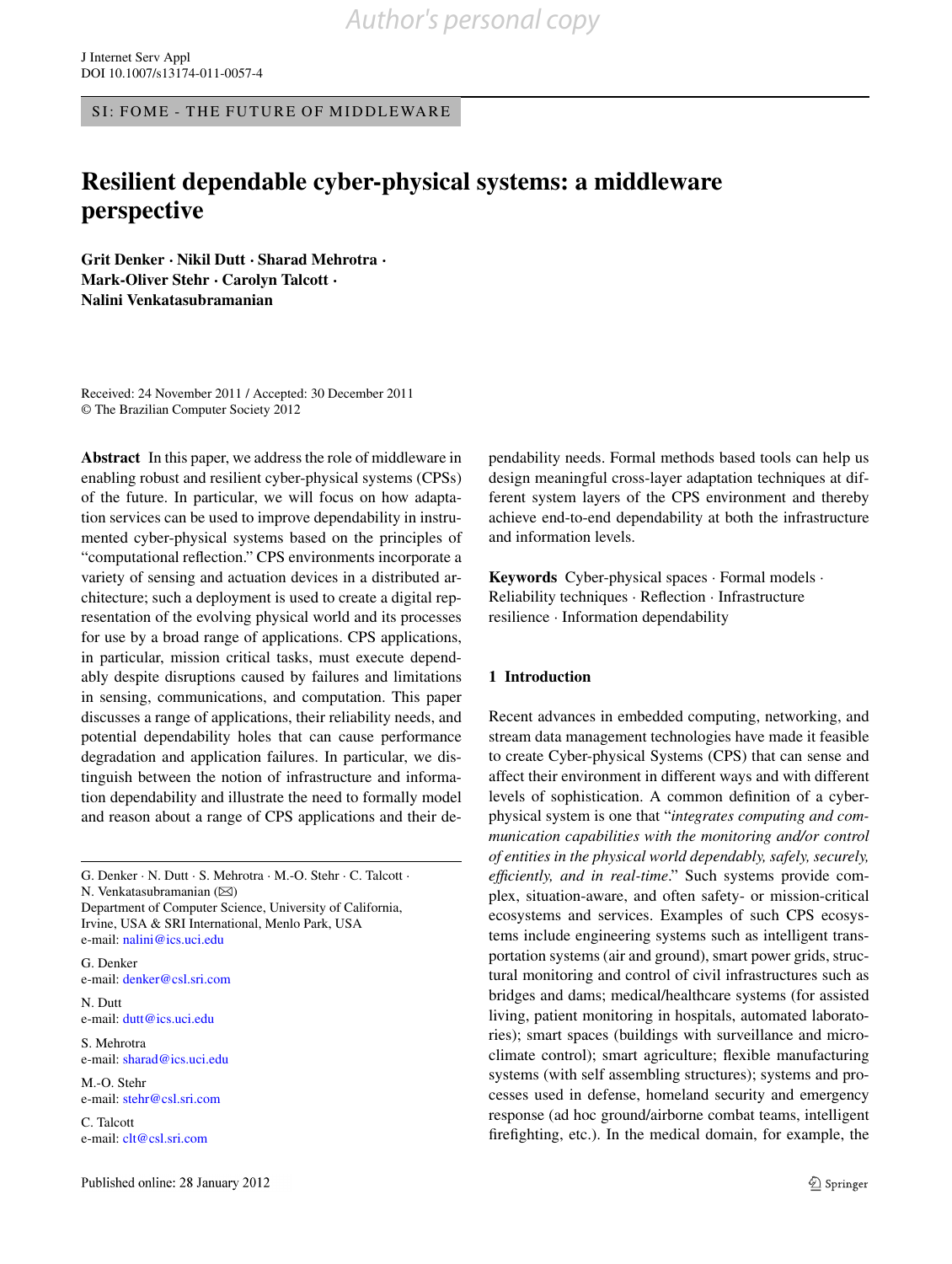SI: FOME - THE FUTURE OF MIDDLEWARE

### **Resilient dependable cyber-physical systems: a middleware perspective**

**Grit Denker · Nikil Dutt · Sharad Mehrotra · Mark-Oliver Stehr · Carolyn Talcott · Nalini Venkatasubramanian**

Received: 24 November 2011 / Accepted: 30 December 2011 © The Brazilian Computer Society 2012

**Abstract** In this paper, we address the role of middleware in enabling robust and resilient cyber-physical systems (CPSs) of the future. In particular, we will focus on how adaptation services can be used to improve dependability in instrumented cyber-physical systems based on the principles of "computational reflection." CPS environments incorporate a variety of sensing and actuation devices in a distributed architecture; such a deployment is used to create a digital representation of the evolving physical world and its processes for use by a broad range of applications. CPS applications, in particular, mission critical tasks, must execute dependably despite disruptions caused by failures and limitations in sensing, communications, and computation. This paper discusses a range of applications, their reliability needs, and potential dependability holes that can cause performance degradation and application failures. In particular, we distinguish between the notion of infrastructure and information dependability and illustrate the need to formally model and reason about a range of CPS applications and their de-

G. Denker · N. Dutt · S. Mehrotra · M.-O. Stehr · C. Talcott · N. Venkatasubramanian  $(\boxtimes)$ Department of Computer Science, University of California, Irvine, USA & SRI International, Menlo Park, USA e-mail: [nalini@ics.uci.edu](mailto:nalini@ics.uci.edu)

G. Denker e-mail: [denker@csl.sri.com](mailto:denker@csl.sri.com)

N. Dutt e-mail: [dutt@ics.uci.edu](mailto:dutt@ics.uci.edu)

S. Mehrotra e-mail: [sharad@ics.uci.edu](mailto:sharad@ics.uci.edu)

M.-O. Stehr e-mail: [stehr@csl.sri.com](mailto:stehr@csl.sri.com)

C. Talcott e-mail: [clt@csl.sri.com](mailto:clt@csl.sri.com) pendability needs. Formal methods based tools can help us design meaningful cross-layer adaptation techniques at different system layers of the CPS environment and thereby achieve end-to-end dependability at both the infrastructure and information levels.

**Keywords** Cyber-physical spaces · Formal models · Reliability techniques · Reflection · Infrastructure resilience · Information dependability

#### **1 Introduction**

Recent advances in embedded computing, networking, and stream data management technologies have made it feasible to create Cyber-physical Systems (CPS) that can sense and affect their environment in different ways and with different levels of sophistication. A common definition of a cyberphysical system is one that "*integrates computing and communication capabilities with the monitoring and/or control of entities in the physical world dependably, safely, securely, efficiently, and in real-time*." Such systems provide complex, situation-aware, and often safety- or mission-critical ecosystems and services. Examples of such CPS ecosystems include engineering systems such as intelligent transportation systems (air and ground), smart power grids, structural monitoring and control of civil infrastructures such as bridges and dams; medical/healthcare systems (for assisted living, patient monitoring in hospitals, automated laboratories); smart spaces (buildings with surveillance and microclimate control); smart agriculture; flexible manufacturing systems (with self assembling structures); systems and processes used in defense, homeland security and emergency response (ad hoc ground/airborne combat teams, intelligent firefighting, etc.). In the medical domain, for example, the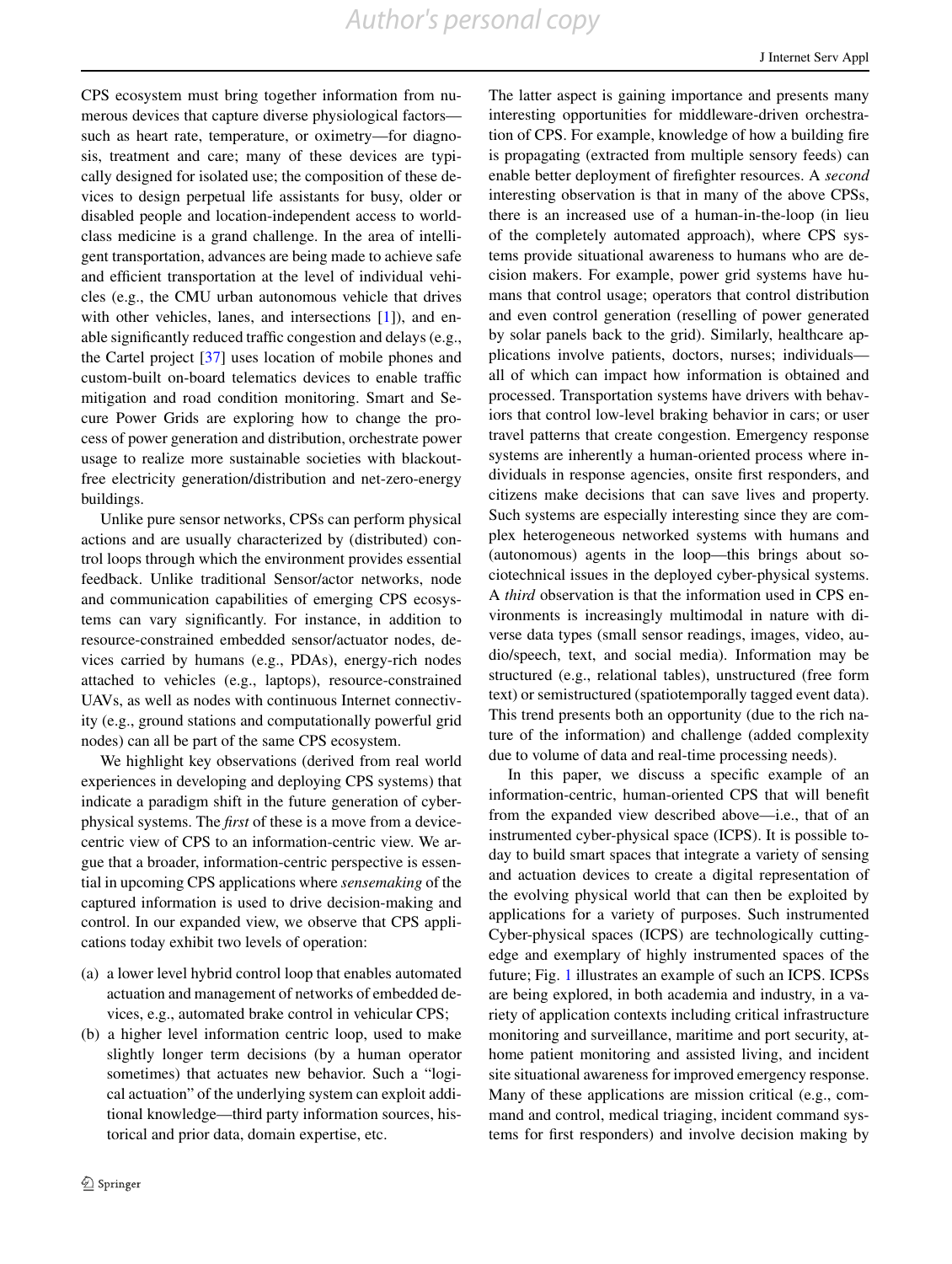CPS ecosystem must bring together information from numerous devices that capture diverse physiological factors such as heart rate, temperature, or oximetry—for diagnosis, treatment and care; many of these devices are typically designed for isolated use; the composition of these devices to design perpetual life assistants for busy, older or disabled people and location-independent access to worldclass medicine is a grand challenge. In the area of intelligent transportation, advances are being made to achieve safe and efficient transportation at the level of individual vehicles (e.g., the CMU urban autonomous vehicle that drives with other vehicles, lanes, and intersections [[1\]](#page-9-0)), and enable significantly reduced traffic congestion and delays (e.g., the Cartel project [\[37](#page-10-0)] uses location of mobile phones and custom-built on-board telematics devices to enable traffic mitigation and road condition monitoring. Smart and Secure Power Grids are exploring how to change the process of power generation and distribution, orchestrate power usage to realize more sustainable societies with blackoutfree electricity generation/distribution and net-zero-energy buildings.

Unlike pure sensor networks, CPSs can perform physical actions and are usually characterized by (distributed) control loops through which the environment provides essential feedback. Unlike traditional Sensor/actor networks, node and communication capabilities of emerging CPS ecosystems can vary significantly. For instance, in addition to resource-constrained embedded sensor/actuator nodes, devices carried by humans (e.g., PDAs), energy-rich nodes attached to vehicles (e.g., laptops), resource-constrained UAVs, as well as nodes with continuous Internet connectivity (e.g., ground stations and computationally powerful grid nodes) can all be part of the same CPS ecosystem.

We highlight key observations (derived from real world experiences in developing and deploying CPS systems) that indicate a paradigm shift in the future generation of cyberphysical systems. The *first* of these is a move from a devicecentric view of CPS to an information-centric view. We argue that a broader, information-centric perspective is essential in upcoming CPS applications where *sensemaking* of the captured information is used to drive decision-making and control. In our expanded view, we observe that CPS applications today exhibit two levels of operation:

- (a) a lower level hybrid control loop that enables automated actuation and management of networks of embedded devices, e.g., automated brake control in vehicular CPS;
- (b) a higher level information centric loop, used to make slightly longer term decisions (by a human operator sometimes) that actuates new behavior. Such a "logical actuation" of the underlying system can exploit additional knowledge—third party information sources, historical and prior data, domain expertise, etc.

The latter aspect is gaining importance and presents many interesting opportunities for middleware-driven orchestration of CPS. For example, knowledge of how a building fire is propagating (extracted from multiple sensory feeds) can enable better deployment of firefighter resources. A *second* interesting observation is that in many of the above CPSs, there is an increased use of a human-in-the-loop (in lieu of the completely automated approach), where CPS systems provide situational awareness to humans who are decision makers. For example, power grid systems have humans that control usage; operators that control distribution and even control generation (reselling of power generated by solar panels back to the grid). Similarly, healthcare applications involve patients, doctors, nurses; individuals all of which can impact how information is obtained and processed. Transportation systems have drivers with behaviors that control low-level braking behavior in cars; or user travel patterns that create congestion. Emergency response systems are inherently a human-oriented process where individuals in response agencies, onsite first responders, and citizens make decisions that can save lives and property. Such systems are especially interesting since they are complex heterogeneous networked systems with humans and (autonomous) agents in the loop—this brings about sociotechnical issues in the deployed cyber-physical systems. A *third* observation is that the information used in CPS environments is increasingly multimodal in nature with diverse data types (small sensor readings, images, video, audio/speech, text, and social media). Information may be structured (e.g., relational tables), unstructured (free form text) or semistructured (spatiotemporally tagged event data). This trend presents both an opportunity (due to the rich nature of the information) and challenge (added complexity due to volume of data and real-time processing needs).

In this paper, we discuss a specific example of an information-centric, human-oriented CPS that will benefit from the expanded view described above—i.e., that of an instrumented cyber-physical space (ICPS). It is possible today to build smart spaces that integrate a variety of sensing and actuation devices to create a digital representation of the evolving physical world that can then be exploited by applications for a variety of purposes. Such instrumented Cyber-physical spaces (ICPS) are technologically cuttingedge and exemplary of highly instrumented spaces of the future; Fig. [1](#page-4-0) illustrates an example of such an ICPS. ICPSs are being explored, in both academia and industry, in a variety of application contexts including critical infrastructure monitoring and surveillance, maritime and port security, athome patient monitoring and assisted living, and incident site situational awareness for improved emergency response. Many of these applications are mission critical (e.g., command and control, medical triaging, incident command systems for first responders) and involve decision making by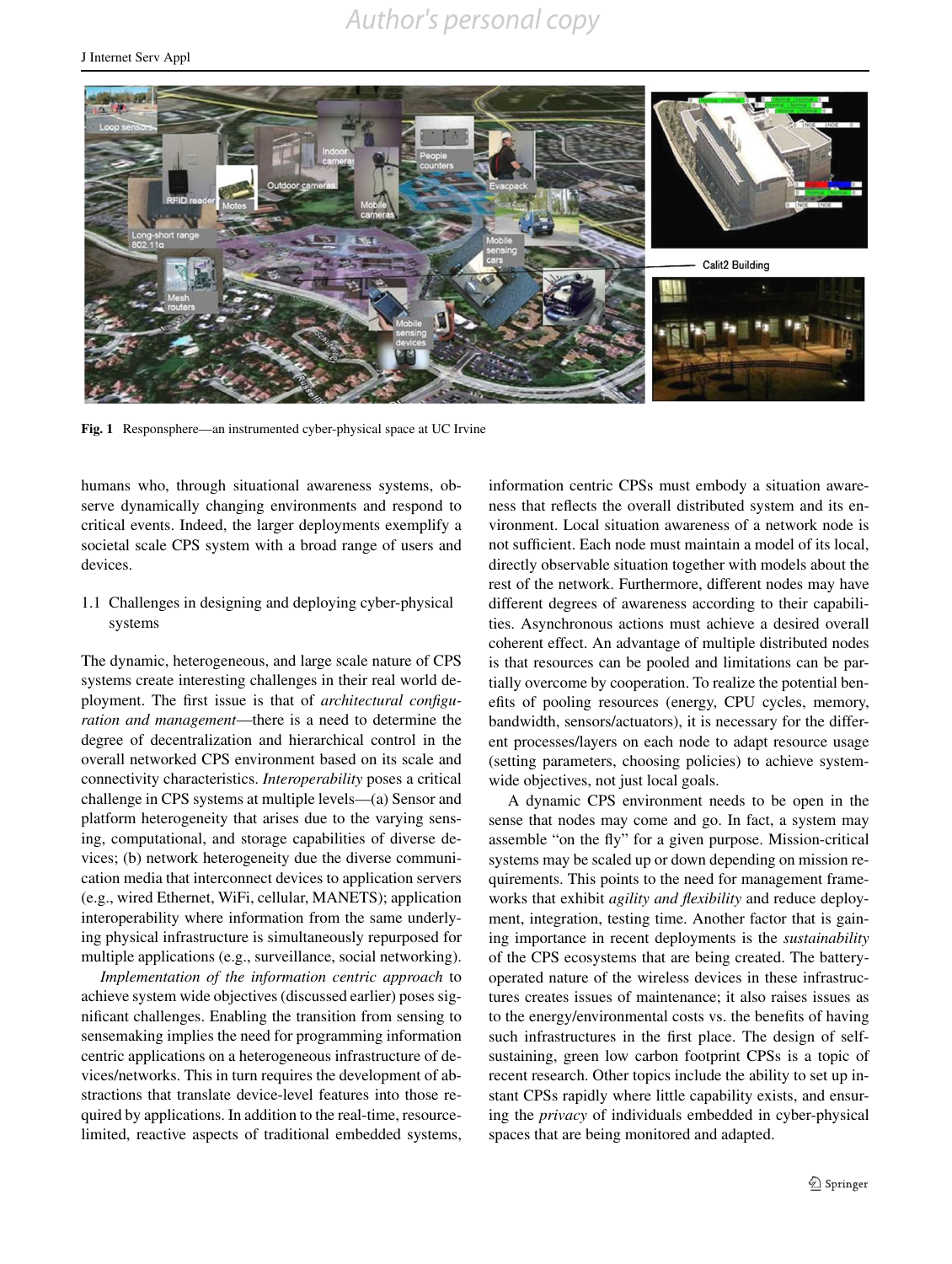## *Author's personal copy*



**Fig. 1** Responsphere—an instrumented cyber-physical space at UC Irvine

<span id="page-4-0"></span>humans who, through situational awareness systems, observe dynamically changing environments and respond to critical events. Indeed, the larger deployments exemplify a societal scale CPS system with a broad range of users and devices.

1.1 Challenges in designing and deploying cyber-physical systems

The dynamic, heterogeneous, and large scale nature of CPS systems create interesting challenges in their real world deployment. The first issue is that of *architectural configuration and management*—there is a need to determine the degree of decentralization and hierarchical control in the overall networked CPS environment based on its scale and connectivity characteristics. *Interoperability* poses a critical challenge in CPS systems at multiple levels—(a) Sensor and platform heterogeneity that arises due to the varying sensing, computational, and storage capabilities of diverse devices; (b) network heterogeneity due the diverse communication media that interconnect devices to application servers (e.g., wired Ethernet, WiFi, cellular, MANETS); application interoperability where information from the same underlying physical infrastructure is simultaneously repurposed for multiple applications (e.g., surveillance, social networking).

*Implementation of the information centric approach* to achieve system wide objectives (discussed earlier) poses significant challenges. Enabling the transition from sensing to sensemaking implies the need for programming information centric applications on a heterogeneous infrastructure of devices/networks. This in turn requires the development of abstractions that translate device-level features into those required by applications. In addition to the real-time, resourcelimited, reactive aspects of traditional embedded systems, information centric CPSs must embody a situation awareness that reflects the overall distributed system and its environment. Local situation awareness of a network node is not sufficient. Each node must maintain a model of its local, directly observable situation together with models about the rest of the network. Furthermore, different nodes may have different degrees of awareness according to their capabilities. Asynchronous actions must achieve a desired overall coherent effect. An advantage of multiple distributed nodes is that resources can be pooled and limitations can be partially overcome by cooperation. To realize the potential benefits of pooling resources (energy, CPU cycles, memory, bandwidth, sensors/actuators), it is necessary for the different processes/layers on each node to adapt resource usage (setting parameters, choosing policies) to achieve systemwide objectives, not just local goals.

A dynamic CPS environment needs to be open in the sense that nodes may come and go. In fact, a system may assemble "on the fly" for a given purpose. Mission-critical systems may be scaled up or down depending on mission requirements. This points to the need for management frameworks that exhibit *agility and flexibility* and reduce deployment, integration, testing time. Another factor that is gaining importance in recent deployments is the *sustainability* of the CPS ecosystems that are being created. The batteryoperated nature of the wireless devices in these infrastructures creates issues of maintenance; it also raises issues as to the energy/environmental costs vs. the benefits of having such infrastructures in the first place. The design of selfsustaining, green low carbon footprint CPSs is a topic of recent research. Other topics include the ability to set up instant CPSs rapidly where little capability exists, and ensuring the *privacy* of individuals embedded in cyber-physical spaces that are being monitored and adapted.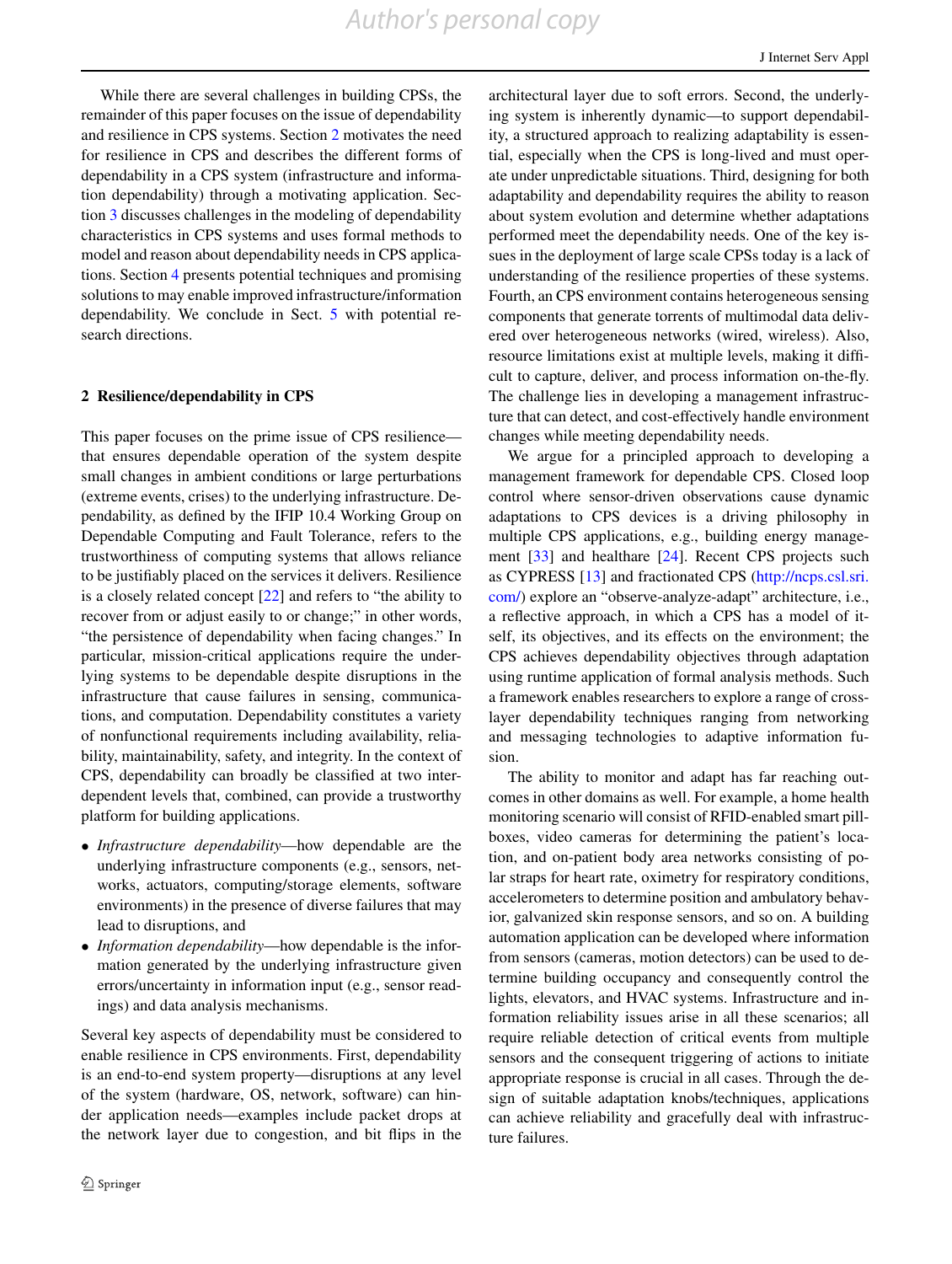While there are several challenges in building CPSs, the remainder of this paper focuses on the issue of dependability and resilience in CPS systems. Section [2](#page-5-0) motivates the need for resilience in CPS and describes the different forms of dependability in a CPS system (infrastructure and information dependability) through a motivating application. Section [3](#page-6-0) discusses challenges in the modeling of dependability characteristics in CPS systems and uses formal methods to model and reason about dependability needs in CPS applications. Section [4](#page-7-0) presents potential techniques and promising solutions to may enable improved infrastructure/information dependability. We conclude in Sect. [5](#page-8-0) with potential research directions.

#### <span id="page-5-0"></span>**2 Resilience/dependability in CPS**

This paper focuses on the prime issue of CPS resilience that ensures dependable operation of the system despite small changes in ambient conditions or large perturbations (extreme events, crises) to the underlying infrastructure. Dependability, as defined by the IFIP 10.4 Working Group on Dependable Computing and Fault Tolerance, refers to the trustworthiness of computing systems that allows reliance to be justifiably placed on the services it delivers. Resilience is a closely related concept [[22\]](#page-9-1) and refers to "the ability to recover from or adjust easily to or change;" in other words, "the persistence of dependability when facing changes." In particular, mission-critical applications require the underlying systems to be dependable despite disruptions in the infrastructure that cause failures in sensing, communications, and computation. Dependability constitutes a variety of nonfunctional requirements including availability, reliability, maintainability, safety, and integrity. In the context of CPS, dependability can broadly be classified at two interdependent levels that, combined, can provide a trustworthy platform for building applications.

- *Infrastructure dependability*—how dependable are the underlying infrastructure components (e.g., sensors, networks, actuators, computing/storage elements, software environments) in the presence of diverse failures that may lead to disruptions, and
- *Information dependability*—how dependable is the information generated by the underlying infrastructure given errors/uncertainty in information input (e.g., sensor readings) and data analysis mechanisms.

Several key aspects of dependability must be considered to enable resilience in CPS environments. First, dependability is an end-to-end system property—disruptions at any level of the system (hardware, OS, network, software) can hinder application needs—examples include packet drops at the network layer due to congestion, and bit flips in the architectural layer due to soft errors. Second, the underlying system is inherently dynamic—to support dependability, a structured approach to realizing adaptability is essential, especially when the CPS is long-lived and must operate under unpredictable situations. Third, designing for both adaptability and dependability requires the ability to reason about system evolution and determine whether adaptations performed meet the dependability needs. One of the key issues in the deployment of large scale CPSs today is a lack of understanding of the resilience properties of these systems. Fourth, an CPS environment contains heterogeneous sensing components that generate torrents of multimodal data delivered over heterogeneous networks (wired, wireless). Also, resource limitations exist at multiple levels, making it difficult to capture, deliver, and process information on-the-fly. The challenge lies in developing a management infrastructure that can detect, and cost-effectively handle environment changes while meeting dependability needs.

We argue for a principled approach to developing a management framework for dependable CPS. Closed loop control where sensor-driven observations cause dynamic adaptations to CPS devices is a driving philosophy in multiple CPS applications, e.g., building energy manage-ment [[33\]](#page-9-2) and healthare [[24\]](#page-9-3). Recent CPS projects such as CYPRESS [\[13](#page-9-4)] and fractionated CPS [\(http://ncps.csl.sri.](http://ncps.csl.sri.com/) [com/\)](http://ncps.csl.sri.com/) explore an "observe-analyze-adapt" architecture, i.e., a reflective approach, in which a CPS has a model of itself, its objectives, and its effects on the environment; the CPS achieves dependability objectives through adaptation using runtime application of formal analysis methods. Such a framework enables researchers to explore a range of crosslayer dependability techniques ranging from networking and messaging technologies to adaptive information fusion.

The ability to monitor and adapt has far reaching outcomes in other domains as well. For example, a home health monitoring scenario will consist of RFID-enabled smart pillboxes, video cameras for determining the patient's location, and on-patient body area networks consisting of polar straps for heart rate, oximetry for respiratory conditions, accelerometers to determine position and ambulatory behavior, galvanized skin response sensors, and so on. A building automation application can be developed where information from sensors (cameras, motion detectors) can be used to determine building occupancy and consequently control the lights, elevators, and HVAC systems. Infrastructure and information reliability issues arise in all these scenarios; all require reliable detection of critical events from multiple sensors and the consequent triggering of actions to initiate appropriate response is crucial in all cases. Through the design of suitable adaptation knobs/techniques, applications can achieve reliability and gracefully deal with infrastructure failures.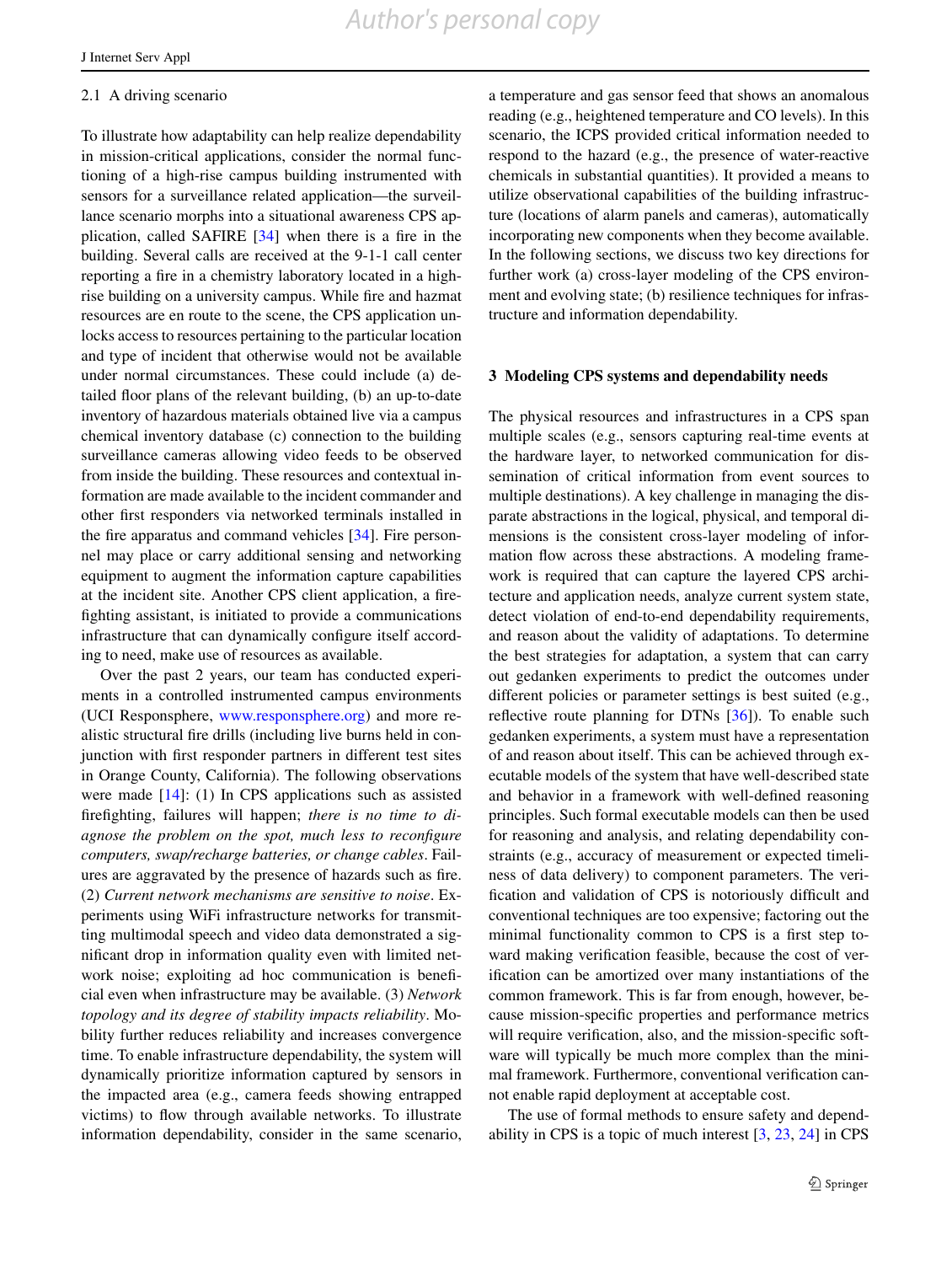#### 2.1 A driving scenario

To illustrate how adaptability can help realize dependability in mission-critical applications, consider the normal functioning of a high-rise campus building instrumented with sensors for a surveillance related application—the surveillance scenario morphs into a situational awareness CPS application, called SAFIRE [[34\]](#page-9-5) when there is a fire in the building. Several calls are received at the 9-1-1 call center reporting a fire in a chemistry laboratory located in a highrise building on a university campus. While fire and hazmat resources are en route to the scene, the CPS application unlocks access to resources pertaining to the particular location and type of incident that otherwise would not be available under normal circumstances. These could include (a) detailed floor plans of the relevant building, (b) an up-to-date inventory of hazardous materials obtained live via a campus chemical inventory database (c) connection to the building surveillance cameras allowing video feeds to be observed from inside the building. These resources and contextual information are made available to the incident commander and other first responders via networked terminals installed in the fire apparatus and command vehicles [\[34](#page-9-5)]. Fire personnel may place or carry additional sensing and networking equipment to augment the information capture capabilities at the incident site. Another CPS client application, a firefighting assistant, is initiated to provide a communications infrastructure that can dynamically configure itself according to need, make use of resources as available.

Over the past 2 years, our team has conducted experiments in a controlled instrumented campus environments (UCI Responsphere, [www.responsphere.org\)](http://www.responsphere.org) and more realistic structural fire drills (including live burns held in conjunction with first responder partners in different test sites in Orange County, California). The following observations were made [[14\]](#page-9-6): (1) In CPS applications such as assisted firefighting, failures will happen; *there is no time to diagnose the problem on the spot, much less to reconfigure computers, swap/recharge batteries, or change cables*. Failures are aggravated by the presence of hazards such as fire. (2) *Current network mechanisms are sensitive to noise*. Experiments using WiFi infrastructure networks for transmitting multimodal speech and video data demonstrated a significant drop in information quality even with limited network noise; exploiting ad hoc communication is beneficial even when infrastructure may be available. (3) *Network topology and its degree of stability impacts reliability*. Mobility further reduces reliability and increases convergence time. To enable infrastructure dependability, the system will dynamically prioritize information captured by sensors in the impacted area (e.g., camera feeds showing entrapped victims) to flow through available networks. To illustrate information dependability, consider in the same scenario, a temperature and gas sensor feed that shows an anomalous reading (e.g., heightened temperature and CO levels). In this scenario, the ICPS provided critical information needed to respond to the hazard (e.g., the presence of water-reactive chemicals in substantial quantities). It provided a means to utilize observational capabilities of the building infrastructure (locations of alarm panels and cameras), automatically incorporating new components when they become available. In the following sections, we discuss two key directions for further work (a) cross-layer modeling of the CPS environment and evolving state; (b) resilience techniques for infrastructure and information dependability.

#### <span id="page-6-0"></span>**3 Modeling CPS systems and dependability needs**

The physical resources and infrastructures in a CPS span multiple scales (e.g., sensors capturing real-time events at the hardware layer, to networked communication for dissemination of critical information from event sources to multiple destinations). A key challenge in managing the disparate abstractions in the logical, physical, and temporal dimensions is the consistent cross-layer modeling of information flow across these abstractions. A modeling framework is required that can capture the layered CPS architecture and application needs, analyze current system state, detect violation of end-to-end dependability requirements, and reason about the validity of adaptations. To determine the best strategies for adaptation, a system that can carry out gedanken experiments to predict the outcomes under different policies or parameter settings is best suited (e.g., reflective route planning for DTNs [[36\]](#page-9-7)). To enable such gedanken experiments, a system must have a representation of and reason about itself. This can be achieved through executable models of the system that have well-described state and behavior in a framework with well-defined reasoning principles. Such formal executable models can then be used for reasoning and analysis, and relating dependability constraints (e.g., accuracy of measurement or expected timeliness of data delivery) to component parameters. The verification and validation of CPS is notoriously difficult and conventional techniques are too expensive; factoring out the minimal functionality common to CPS is a first step toward making verification feasible, because the cost of verification can be amortized over many instantiations of the common framework. This is far from enough, however, because mission-specific properties and performance metrics will require verification, also, and the mission-specific software will typically be much more complex than the minimal framework. Furthermore, conventional verification cannot enable rapid deployment at acceptable cost.

The use of formal methods to ensure safety and dependability in CPS is a topic of much interest [[3,](#page-9-8) [23,](#page-9-9) [24\]](#page-9-3) in CPS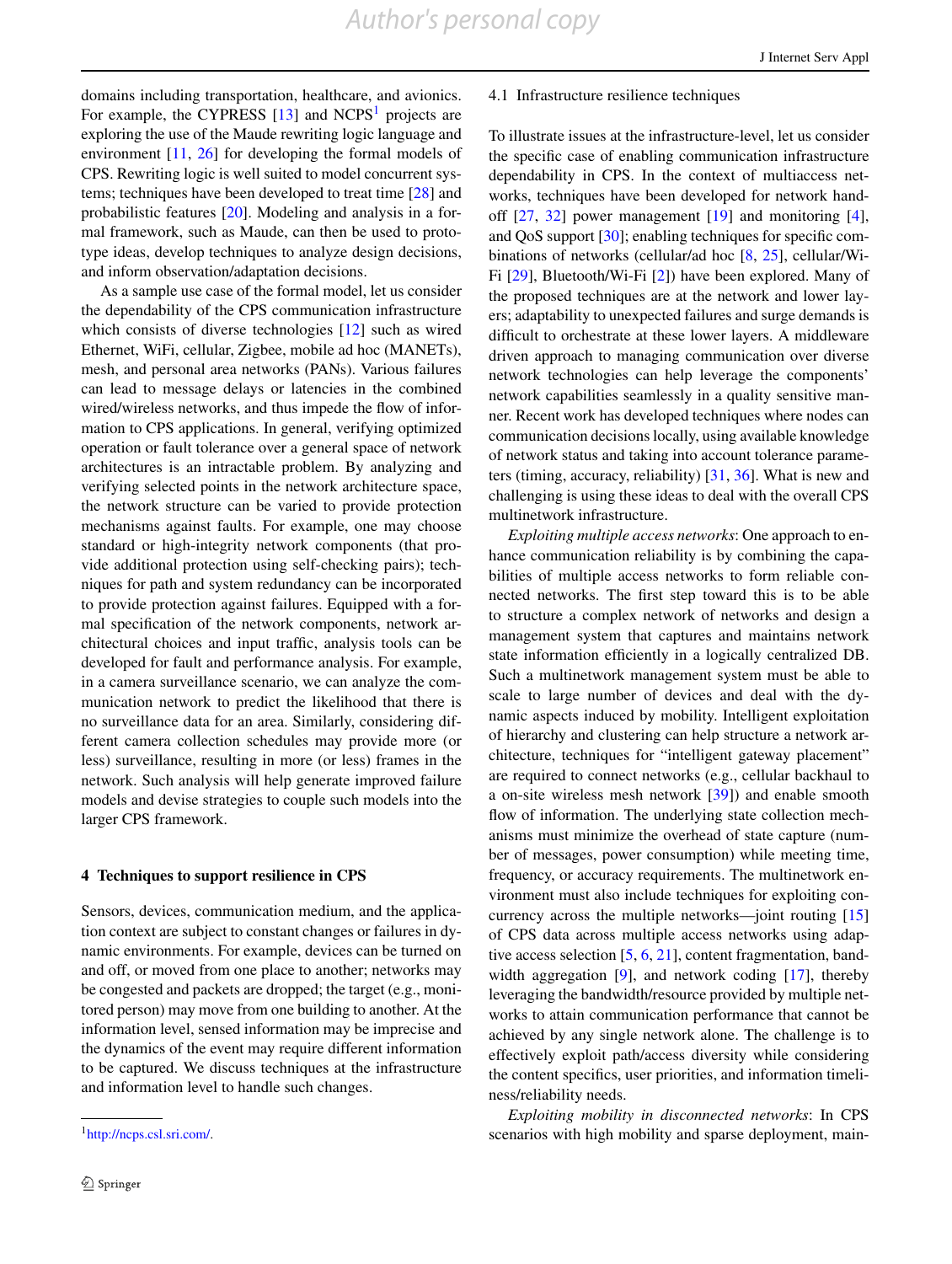domains including transportation, healthcare, and avionics. For example, the CYPRESS  $[13]$  $[13]$  and NCPS<sup>[1](#page-7-1)</sup> projects are exploring the use of the Maude rewriting logic language and environment [[11,](#page-9-10) [26](#page-9-11)] for developing the formal models of CPS. Rewriting logic is well suited to model concurrent systems; techniques have been developed to treat time [[28\]](#page-9-12) and probabilistic features [[20\]](#page-9-13). Modeling and analysis in a formal framework, such as Maude, can then be used to prototype ideas, develop techniques to analyze design decisions, and inform observation/adaptation decisions.

As a sample use case of the formal model, let us consider the dependability of the CPS communication infrastructure which consists of diverse technologies [\[12](#page-9-14)] such as wired Ethernet, WiFi, cellular, Zigbee, mobile ad hoc (MANETs), mesh, and personal area networks (PANs). Various failures can lead to message delays or latencies in the combined wired/wireless networks, and thus impede the flow of information to CPS applications. In general, verifying optimized operation or fault tolerance over a general space of network architectures is an intractable problem. By analyzing and verifying selected points in the network architecture space, the network structure can be varied to provide protection mechanisms against faults. For example, one may choose standard or high-integrity network components (that provide additional protection using self-checking pairs); techniques for path and system redundancy can be incorporated to provide protection against failures. Equipped with a formal specification of the network components, network architectural choices and input traffic, analysis tools can be developed for fault and performance analysis. For example, in a camera surveillance scenario, we can analyze the communication network to predict the likelihood that there is no surveillance data for an area. Similarly, considering different camera collection schedules may provide more (or less) surveillance, resulting in more (or less) frames in the network. Such analysis will help generate improved failure models and devise strategies to couple such models into the larger CPS framework.

#### <span id="page-7-0"></span>**4 Techniques to support resilience in CPS**

<span id="page-7-1"></span>Sensors, devices, communication medium, and the application context are subject to constant changes or failures in dynamic environments. For example, devices can be turned on and off, or moved from one place to another; networks may be congested and packets are dropped; the target (e.g., monitored person) may move from one building to another. At the information level, sensed information may be imprecise and the dynamics of the event may require different information to be captured. We discuss techniques at the infrastructure and information level to handle such changes.

#### 4.1 Infrastructure resilience techniques

To illustrate issues at the infrastructure-level, let us consider the specific case of enabling communication infrastructure dependability in CPS. In the context of multiaccess networks, techniques have been developed for network handoff [[27,](#page-9-15) [32](#page-9-16)] power management [[19\]](#page-9-17) and monitoring [\[4](#page-9-18)], and QoS support [[30\]](#page-9-19); enabling techniques for specific combinations of networks (cellular/ad hoc [\[8](#page-9-20), [25](#page-9-21)], cellular/Wi-Fi [[29\]](#page-9-22), Bluetooth/Wi-Fi [\[2](#page-9-23)]) have been explored. Many of the proposed techniques are at the network and lower layers; adaptability to unexpected failures and surge demands is difficult to orchestrate at these lower layers. A middleware driven approach to managing communication over diverse network technologies can help leverage the components' network capabilities seamlessly in a quality sensitive manner. Recent work has developed techniques where nodes can communication decisions locally, using available knowledge of network status and taking into account tolerance parameters (timing, accuracy, reliability) [\[31](#page-9-24), [36](#page-9-7)]. What is new and challenging is using these ideas to deal with the overall CPS multinetwork infrastructure.

*Exploiting multiple access networks*: One approach to enhance communication reliability is by combining the capabilities of multiple access networks to form reliable connected networks. The first step toward this is to be able to structure a complex network of networks and design a management system that captures and maintains network state information efficiently in a logically centralized DB. Such a multinetwork management system must be able to scale to large number of devices and deal with the dynamic aspects induced by mobility. Intelligent exploitation of hierarchy and clustering can help structure a network architecture, techniques for "intelligent gateway placement" are required to connect networks (e.g., cellular backhaul to a on-site wireless mesh network [\[39](#page-10-1)]) and enable smooth flow of information. The underlying state collection mechanisms must minimize the overhead of state capture (number of messages, power consumption) while meeting time, frequency, or accuracy requirements. The multinetwork environment must also include techniques for exploiting concurrency across the multiple networks—joint routing [[15\]](#page-9-25) of CPS data across multiple access networks using adaptive access selection [\[5](#page-9-26), [6](#page-9-27), [21\]](#page-9-28), content fragmentation, band-width aggregation [[9\]](#page-9-29), and network coding [[17\]](#page-9-30), thereby leveraging the bandwidth/resource provided by multiple networks to attain communication performance that cannot be achieved by any single network alone. The challenge is to effectively exploit path/access diversity while considering the content specifics, user priorities, and information timeliness/reliability needs.

*Exploiting mobility in disconnected networks*: In CPS scenarios with high mobility and sparse deployment, main-

<sup>1</sup><http://ncps.csl.sri.com/>.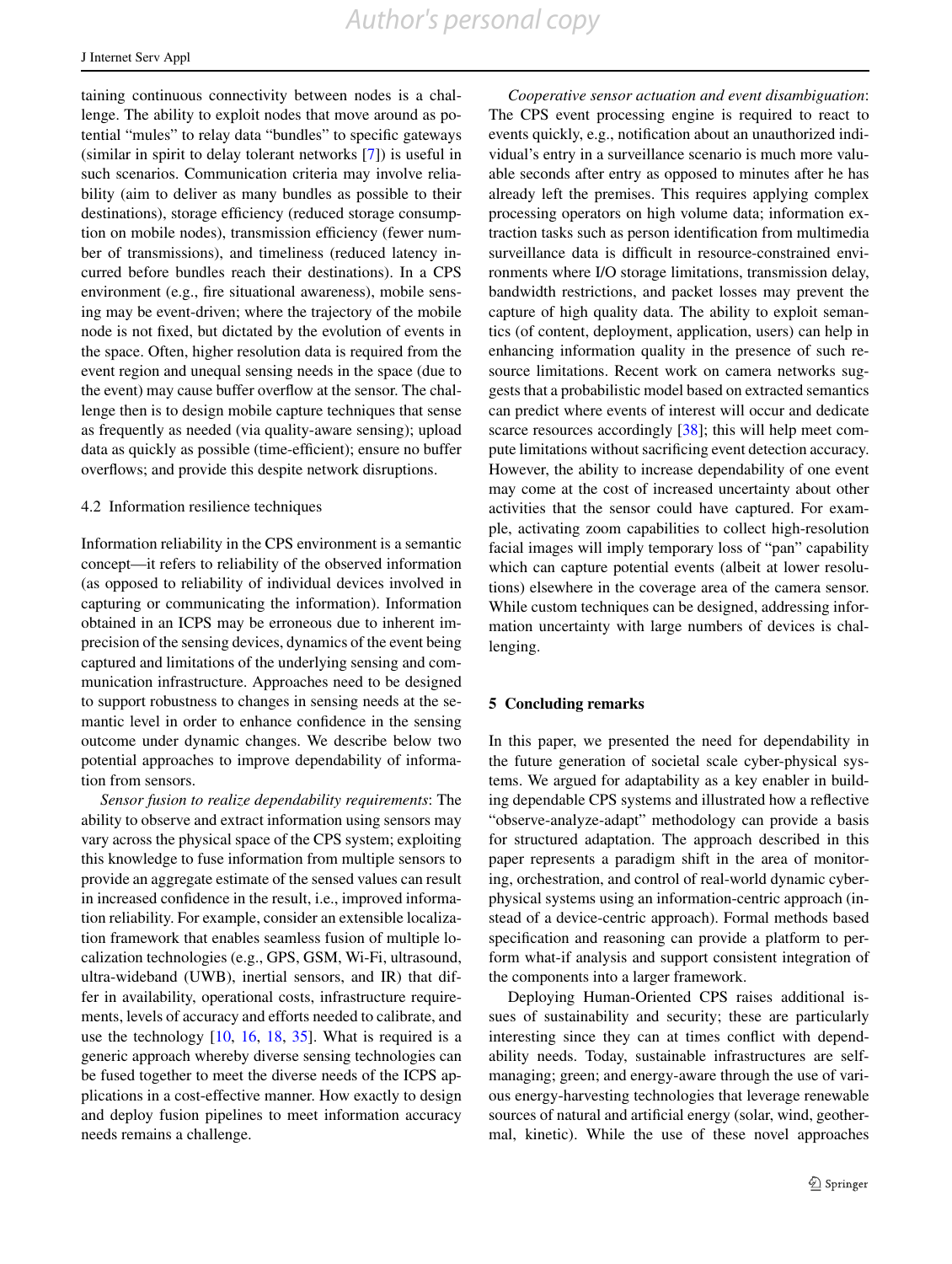taining continuous connectivity between nodes is a challenge. The ability to exploit nodes that move around as potential "mules" to relay data "bundles" to specific gateways (similar in spirit to delay tolerant networks [[7\]](#page-9-31)) is useful in such scenarios. Communication criteria may involve reliability (aim to deliver as many bundles as possible to their destinations), storage efficiency (reduced storage consumption on mobile nodes), transmission efficiency (fewer number of transmissions), and timeliness (reduced latency incurred before bundles reach their destinations). In a CPS environment (e.g., fire situational awareness), mobile sensing may be event-driven; where the trajectory of the mobile node is not fixed, but dictated by the evolution of events in the space. Often, higher resolution data is required from the event region and unequal sensing needs in the space (due to the event) may cause buffer overflow at the sensor. The challenge then is to design mobile capture techniques that sense as frequently as needed (via quality-aware sensing); upload data as quickly as possible (time-efficient); ensure no buffer overflows; and provide this despite network disruptions.

#### 4.2 Information resilience techniques

Information reliability in the CPS environment is a semantic concept—it refers to reliability of the observed information (as opposed to reliability of individual devices involved in capturing or communicating the information). Information obtained in an ICPS may be erroneous due to inherent imprecision of the sensing devices, dynamics of the event being captured and limitations of the underlying sensing and communication infrastructure. Approaches need to be designed to support robustness to changes in sensing needs at the semantic level in order to enhance confidence in the sensing outcome under dynamic changes. We describe below two potential approaches to improve dependability of information from sensors.

*Sensor fusion to realize dependability requirements*: The ability to observe and extract information using sensors may vary across the physical space of the CPS system; exploiting this knowledge to fuse information from multiple sensors to provide an aggregate estimate of the sensed values can result in increased confidence in the result, i.e., improved information reliability. For example, consider an extensible localization framework that enables seamless fusion of multiple localization technologies (e.g., GPS, GSM, Wi-Fi, ultrasound, ultra-wideband (UWB), inertial sensors, and IR) that differ in availability, operational costs, infrastructure requirements, levels of accuracy and efforts needed to calibrate, and use the technology  $[10, 16, 18, 35]$  $[10, 16, 18, 35]$  $[10, 16, 18, 35]$  $[10, 16, 18, 35]$  $[10, 16, 18, 35]$  $[10, 16, 18, 35]$  $[10, 16, 18, 35]$  $[10, 16, 18, 35]$ . What is required is a generic approach whereby diverse sensing technologies can be fused together to meet the diverse needs of the ICPS applications in a cost-effective manner. How exactly to design and deploy fusion pipelines to meet information accuracy needs remains a challenge.

*Cooperative sensor actuation and event disambiguation*: The CPS event processing engine is required to react to events quickly, e.g., notification about an unauthorized individual's entry in a surveillance scenario is much more valuable seconds after entry as opposed to minutes after he has already left the premises. This requires applying complex processing operators on high volume data; information extraction tasks such as person identification from multimedia surveillance data is difficult in resource-constrained environments where I/O storage limitations, transmission delay, bandwidth restrictions, and packet losses may prevent the capture of high quality data. The ability to exploit semantics (of content, deployment, application, users) can help in enhancing information quality in the presence of such resource limitations. Recent work on camera networks suggests that a probabilistic model based on extracted semantics can predict where events of interest will occur and dedicate scarce resources accordingly [\[38](#page-10-2)]; this will help meet compute limitations without sacrificing event detection accuracy. However, the ability to increase dependability of one event may come at the cost of increased uncertainty about other activities that the sensor could have captured. For example, activating zoom capabilities to collect high-resolution facial images will imply temporary loss of "pan" capability which can capture potential events (albeit at lower resolutions) elsewhere in the coverage area of the camera sensor. While custom techniques can be designed, addressing information uncertainty with large numbers of devices is challenging.

#### <span id="page-8-0"></span>**5 Concluding remarks**

In this paper, we presented the need for dependability in the future generation of societal scale cyber-physical systems. We argued for adaptability as a key enabler in building dependable CPS systems and illustrated how a reflective "observe-analyze-adapt" methodology can provide a basis for structured adaptation. The approach described in this paper represents a paradigm shift in the area of monitoring, orchestration, and control of real-world dynamic cyberphysical systems using an information-centric approach (instead of a device-centric approach). Formal methods based specification and reasoning can provide a platform to perform what-if analysis and support consistent integration of the components into a larger framework.

Deploying Human-Oriented CPS raises additional issues of sustainability and security; these are particularly interesting since they can at times conflict with dependability needs. Today, sustainable infrastructures are selfmanaging; green; and energy-aware through the use of various energy-harvesting technologies that leverage renewable sources of natural and artificial energy (solar, wind, geothermal, kinetic). While the use of these novel approaches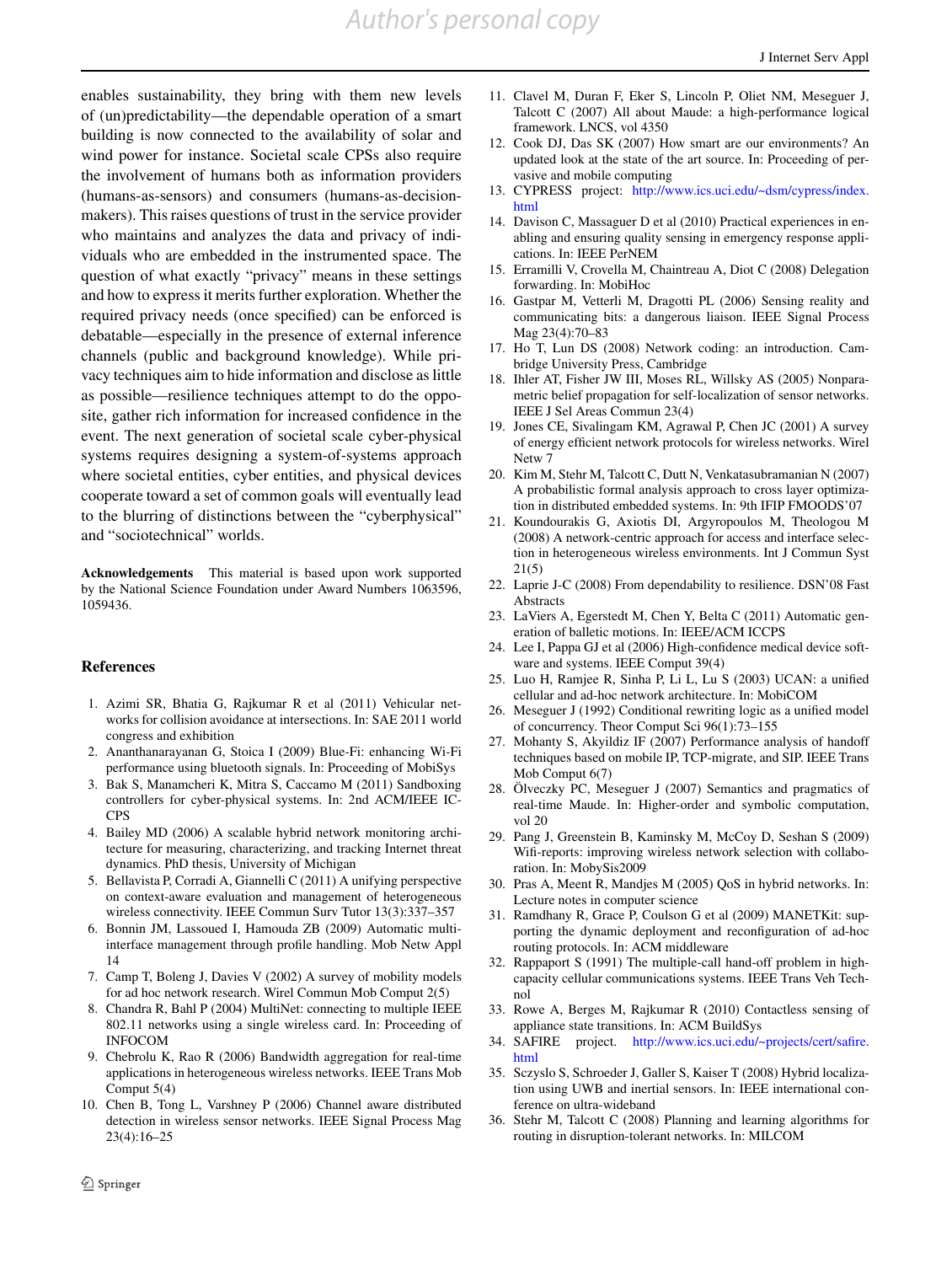enables sustainability, they bring with them new levels of (un)predictability—the dependable operation of a smart building is now connected to the availability of solar and wind power for instance. Societal scale CPSs also require the involvement of humans both as information providers (humans-as-sensors) and consumers (humans-as-decisionmakers). This raises questions of trust in the service provider who maintains and analyzes the data and privacy of individuals who are embedded in the instrumented space. The question of what exactly "privacy" means in these settings and how to express it merits further exploration. Whether the required privacy needs (once specified) can be enforced is debatable—especially in the presence of external inference channels (public and background knowledge). While privacy techniques aim to hide information and disclose as little as possible—resilience techniques attempt to do the opposite, gather rich information for increased confidence in the event. The next generation of societal scale cyber-physical systems requires designing a system-of-systems approach where societal entities, cyber entities, and physical devices cooperate toward a set of common goals will eventually lead to the blurring of distinctions between the "cyberphysical" and "sociotechnical" worlds.

<span id="page-9-23"></span><span id="page-9-0"></span>**Acknowledgements** This material is based upon work supported by the National Science Foundation under Award Numbers 1063596, 1059436.

#### <span id="page-9-18"></span><span id="page-9-8"></span>**References**

- 1. Azimi SR, Bhatia G, Rajkumar R et al (2011) Vehicular networks for collision avoidance at intersections. In: SAE 2011 world congress and exhibition
- <span id="page-9-26"></span>2. Ananthanarayanan G, Stoica I (2009) Blue-Fi: enhancing Wi-Fi performance using bluetooth signals. In: Proceeding of MobiSys
- <span id="page-9-27"></span>3. Bak S, Manamcheri K, Mitra S, Caccamo M (2011) Sandboxing controllers for cyber-physical systems. In: 2nd ACM/IEEE IC-CPS
- <span id="page-9-31"></span>4. Bailey MD (2006) A scalable hybrid network monitoring architecture for measuring, characterizing, and tracking Internet threat dynamics. PhD thesis, University of Michigan
- <span id="page-9-20"></span>5. Bellavista P, Corradi A, Giannelli C (2011) A unifying perspective on context-aware evaluation and management of heterogeneous wireless connectivity. IEEE Commun Surv Tutor 13(3):337–357
- <span id="page-9-29"></span>6. Bonnin JM, Lassoued I, Hamouda ZB (2009) Automatic multiinterface management through profile handling. Mob Netw Appl 14
- <span id="page-9-32"></span>7. Camp T, Boleng J, Davies V (2002) A survey of mobility models for ad hoc network research. Wirel Commun Mob Comput 2(5)
- 8. Chandra R, Bahl P (2004) MultiNet: connecting to multiple IEEE 802.11 networks using a single wireless card. In: Proceeding of INFOCOM
- 9. Chebrolu K, Rao R (2006) Bandwidth aggregation for real-time applications in heterogeneous wireless networks. IEEE Trans Mob Comput 5(4)
- 10. Chen B, Tong L, Varshney P (2006) Channel aware distributed detection in wireless sensor networks. IEEE Signal Process Mag 23(4):16–25
- <span id="page-9-14"></span><span id="page-9-10"></span><span id="page-9-6"></span><span id="page-9-4"></span>11. Clavel M, Duran F, Eker S, Lincoln P, Oliet NM, Meseguer J, Talcott C (2007) All about Maude: a high-performance logical framework. LNCS, vol 4350
- <span id="page-9-33"></span><span id="page-9-25"></span>12. Cook DJ, Das SK (2007) How smart are our environments? An updated look at the state of the art source. In: Proceeding of pervasive and mobile computing
- <span id="page-9-30"></span>13. CYPRESS project: [http://www.ics.uci.edu/~dsm/cypress/index.](http://www.ics.uci.edu/~dsm/cypress/index.html) [html](http://www.ics.uci.edu/~dsm/cypress/index.html)
- <span id="page-9-34"></span>14. Davison C, Massaguer D et al (2010) Practical experiences in enabling and ensuring quality sensing in emergency response applications. In: IEEE PerNEM
- <span id="page-9-17"></span>15. Erramilli V, Crovella M, Chaintreau A, Diot C (2008) Delegation forwarding. In: MobiHoc
- 16. Gastpar M, Vetterli M, Dragotti PL (2006) Sensing reality and communicating bits: a dangerous liaison. IEEE Signal Process Mag 23(4):70–83
- <span id="page-9-13"></span>17. Ho T, Lun DS (2008) Network coding: an introduction. Cambridge University Press, Cambridge
- <span id="page-9-28"></span>18. Ihler AT, Fisher JW III, Moses RL, Willsky AS (2005) Nonparametric belief propagation for self-localization of sensor networks. IEEE J Sel Areas Commun 23(4)
- <span id="page-9-1"></span>19. Jones CE, Sivalingam KM, Agrawal P, Chen JC (2001) A survey of energy efficient network protocols for wireless networks. Wirel Netw 7
- <span id="page-9-9"></span>20. Kim M, Stehr M, Talcott C, Dutt N, Venkatasubramanian N (2007) A probabilistic formal analysis approach to cross layer optimization in distributed embedded systems. In: 9th IFIP FMOODS'07
- <span id="page-9-21"></span><span id="page-9-3"></span>21. Koundourakis G, Axiotis DI, Argyropoulos M, Theologou M (2008) A network-centric approach for access and interface selection in heterogeneous wireless environments. Int J Commun Syst 21(5)
- <span id="page-9-15"></span><span id="page-9-11"></span>22. Laprie J-C (2008) From dependability to resilience. DSN'08 Fast **Abstracts**
- 23. LaViers A, Egerstedt M, Chen Y, Belta C (2011) Automatic generation of balletic motions. In: IEEE/ACM ICCPS
- <span id="page-9-12"></span>24. Lee I, Pappa GJ et al (2006) High-confidence medical device software and systems. IEEE Comput 39(4)
- <span id="page-9-22"></span>25. Luo H, Ramjee R, Sinha P, Li L, Lu S (2003) UCAN: a unified cellular and ad-hoc network architecture. In: MobiCOM
- 26. Meseguer J (1992) Conditional rewriting logic as a unified model of concurrency. Theor Comput Sci 96(1):73–155
- <span id="page-9-19"></span>27. Mohanty S, Akyildiz IF (2007) Performance analysis of handoff techniques based on mobile IP, TCP-migrate, and SIP. IEEE Trans Mob Comput 6(7)
- <span id="page-9-24"></span>28. Ölveczky PC, Meseguer J (2007) Semantics and pragmatics of real-time Maude. In: Higher-order and symbolic computation, vol 20
- <span id="page-9-16"></span>29. Pang J, Greenstein B, Kaminsky M, McCoy D, Seshan S (2009) Wifi-reports: improving wireless network selection with collaboration. In: MobySis2009
- <span id="page-9-5"></span><span id="page-9-2"></span>30. Pras A, Meent R, Mandjes M (2005) QoS in hybrid networks. In: Lecture notes in computer science
- <span id="page-9-35"></span>31. Ramdhany R, Grace P, Coulson G et al (2009) MANETKit: supporting the dynamic deployment and reconfiguration of ad-hoc routing protocols. In: ACM middleware
- <span id="page-9-7"></span>32. Rappaport S (1991) The multiple-call hand-off problem in highcapacity cellular communications systems. IEEE Trans Veh Technol
- 33. Rowe A, Berges M, Rajkumar R (2010) Contactless sensing of appliance state transitions. In: ACM BuildSys
- 34. SAFIRE project. [http://www.ics.uci.edu/~projects/cert/safire.](http://www.ics.uci.edu/~projects/cert/safire.html) [html](http://www.ics.uci.edu/~projects/cert/safire.html)
- 35. Sczyslo S, Schroeder J, Galler S, Kaiser T (2008) Hybrid localization using UWB and inertial sensors. In: IEEE international conference on ultra-wideband
- 36. Stehr M, Talcott C (2008) Planning and learning algorithms for routing in disruption-tolerant networks. In: MILCOM